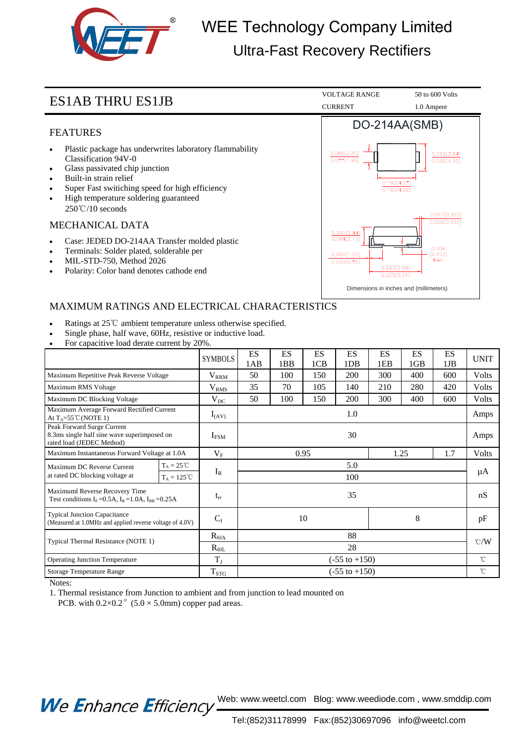

# WEE Technology Company Limited Ultra-Fast Recovery Rectifiers

### FEATURES

- Plastic package has underwrites laboratory flammability Classification 94V-0
- Glass passivated chip junction
- Built-in strain relief
- Super Fast switiching speed for high efficiency
- High temperature soldering guaranteed 250℃/10 seconds

### MECHANICAL DATA

- Case: JEDED DO-214AA Transfer molded plastic
- Terminals: Solder plated, solderable per
- MIL-STD-750, Method 2026
- Polarity: Color band denotes cathode end



## MAXIMUM RATINGS AND ELECTRICAL CHARACTERISTICS

- Ratings at 25℃ ambient temperature unless otherwise specified.
- Single phase, half wave, 60Hz, resistive or inductive load.
- For capacitive load derate current by 20%.

|                                                                                                        |                      | <b>SYMBOLS</b>    | ES<br>1AB                | <b>ES</b><br>1BB | <b>ES</b><br>1CB | ES<br>1DB | <b>ES</b><br>1EB | <b>ES</b><br>1GB | ES<br>1JB | <b>UNIT</b>     |
|--------------------------------------------------------------------------------------------------------|----------------------|-------------------|--------------------------|------------------|------------------|-----------|------------------|------------------|-----------|-----------------|
| Maximum Repetitive Peak Reverse Voltage                                                                |                      | $\rm V_{\rm RRM}$ | 50                       | 100              | 150              | 200       | 300              | 400              | 600       | <b>Volts</b>    |
| Maximum RMS Voltage                                                                                    |                      | $\rm V_{RMS}$     | 35                       | 70               | 105              | 140       | 210              | 280              | 420       | <b>Volts</b>    |
| Maximum DC Blocking Voltage                                                                            |                      | $\rm V_{DC}$      | 50                       | 100              | 150              | 200       | 300              | 400              | 600       | Volts           |
| Maximum Average Forward Rectified Current<br>At $T_A = 55^{\circ}$ C (NOTE 1)                          |                      | $I_{(AV)}$        | 1.0                      |                  |                  |           |                  |                  |           | Amps            |
| Peak Forward Surge Current<br>8.3ms single half sine wave superimposed on<br>rated load (JEDEC Method) |                      | $I_{FSM}$         | 30                       |                  |                  |           |                  |                  |           | Amps            |
| Maximum Instantaneous Forward Voltage at 1.0A                                                          |                      | $V_{F}$           | 0.95<br>1.25<br>1.7      |                  |                  |           |                  |                  | Volts     |                 |
| Maximum DC Reverse Current<br>at rated DC blocking voltage at                                          | $T_A = 25^{\circ}C$  |                   | 5.0                      |                  |                  |           |                  |                  |           | μA              |
|                                                                                                        | $T_A = 125^{\circ}C$ | $I_R$             | 100                      |                  |                  |           |                  |                  |           |                 |
| Maximuml Reverse Recovery Time<br>Test conditions $I_F = 0.5A$ , $I_R = 1.0A$ , $I_{RR} = 0.25A$       |                      | $t_{rr}$          | 35                       |                  |                  |           |                  |                  |           | nS              |
| <b>Typical Junction Capacitance</b><br>(Measured at 1.0MHz and applied reverse voltage of 4.0V)        |                      | $C_{J}$           | 10<br>8                  |                  |                  |           |                  |                  | pF        |                 |
| Typical Thermal Resistance (NOTE 1)                                                                    |                      | $R_{\theta JA}$   | 88                       |                  |                  |           |                  |                  |           | $\mathcal{C}/W$ |
|                                                                                                        |                      | $R_{\theta JL}$   | 28                       |                  |                  |           |                  |                  |           |                 |
| <b>Operating Junction Temperature</b>                                                                  |                      | $T_{J}$           | $(-55 \text{ to } +150)$ |                  |                  |           |                  |                  |           | $\rm ^{\circ}C$ |
| Storage Temperature Range                                                                              |                      | $T_{STG}$         | $(-55 \text{ to } +150)$ |                  |                  |           |                  |                  |           | $\rm ^{\circ}C$ |

Notes:

1. Thermal resistance from Junction to ambient and from junction to lead mounted on

PCB. with  $0.2 \times 0.2$ " (5.0  $\times$  5.0mm) copper pad areas.

We Enhance Efficiency Web: www.weetcl.com Blog: www.weediode.com, www.smddip.com